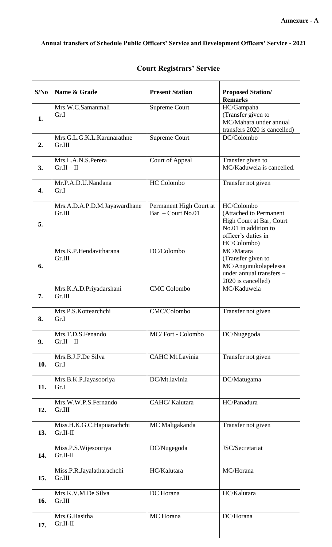## **Annual transfers of Schedule Public Officers' Service and Development Officers' Service - 2021**

| S/No | Name & Grade                           | <b>Present Station</b>                         | <b>Proposed Station/</b><br><b>Remarks</b>                                                                                     |
|------|----------------------------------------|------------------------------------------------|--------------------------------------------------------------------------------------------------------------------------------|
| 1.   | Mrs.W.C.Samanmali<br>Gr.I              | <b>Supreme Court</b>                           | HC/Gampaha<br>(Transfer given to<br>MC/Mahara under annual<br>transfers 2020 is cancelled)                                     |
| 2.   | Mrs.G.L.G.K.L.Karunarathne<br>Gr.III   | <b>Supreme Court</b>                           | DC/Colombo                                                                                                                     |
| 3.   | Mrs.L.A.N.S.Perera<br>$Gr.II-II$       | Court of Appeal                                | Transfer given to<br>MC/Kaduwela is cancelled.                                                                                 |
| 4.   | Mr.P.A.D.U.Nandana<br>Gr.I             | HC Colombo                                     | Transfer not given                                                                                                             |
| 5.   | Mrs.A.D.A.P.D.M.Jayawardhane<br>Gr.III | Permanent High Court at<br>$Bar - Court No.01$ | HC/Colombo<br>(Attached to Permanent<br>High Court at Bar, Court<br>No.01 in addition to<br>officer's duties in<br>HC/Colombo) |
| 6.   | Mrs.K.P.Hendavitharana<br>Gr.III       | DC/Colombo                                     | MC/Matara<br>(Transfer given to<br>MC/Angunukolapelessa<br>under annual transfers -<br>2020 is cancelled)                      |
| 7.   | Mrs.K.A.D.Priyadarshani<br>Gr.III      | <b>CMC</b> Colombo                             | MC/Kaduwela                                                                                                                    |
| 8.   | Mrs.P.S.Kottearchchi<br>Gr.I           | CMC/Colombo                                    | Transfer not given                                                                                                             |
| 9.   | Mrs.T.D.S.Fenando<br>$Gr.II-II$        | MC/Fort - Colombo                              | DC/Nugegoda                                                                                                                    |
| 10.  | Mrs.B.J.F.De Silva<br>Gr.I             | CAHC Mt.Lavinia                                | Transfer not given                                                                                                             |
| 11.  | Mrs.B.K.P.Jayasooriya<br>Gr.I          | DC/Mt.lavinia                                  | DC/Matugama                                                                                                                    |
| 12.  | Mrs.W.W.P.S.Fernando<br>Gr.III         | CAHC/Kalutara                                  | HC/Panadura                                                                                                                    |
| 13.  | Miss.H.K.G.C.Hapuarachchi<br>Gr.II-II  | MC Maligakanda                                 | Transfer not given                                                                                                             |
| 14.  | Miss.P.S. Wijesooriya<br>Gr.II-II      | DC/Nugegoda                                    | JSC/Secretariat                                                                                                                |
| 15.  | Miss.P.R.Jayalatharachchi<br>Gr.III    | HC/Kalutara                                    | MC/Horana                                                                                                                      |
| 16.  | Mrs.K.V.M.De Silva<br>Gr.III           | DC Horana                                      | HC/Kalutara                                                                                                                    |
| 17.  | Mrs.G.Hasitha<br>$Gr.II-II$            | MC Horana                                      | DC/Horana                                                                                                                      |

## **Court Registrars' Service**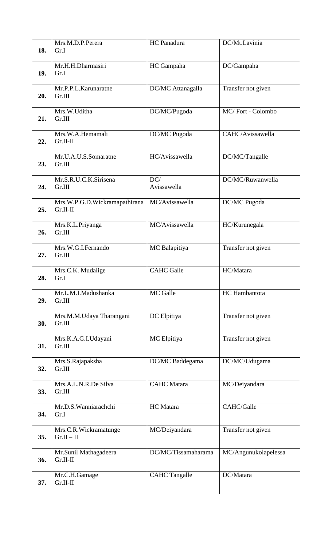|     | Mrs.M.D.P.Perera                          | HC Panadura          | DC/Mt.Lavinia        |
|-----|-------------------------------------------|----------------------|----------------------|
| 18. | Gr.I                                      |                      |                      |
| 19. | Mr.H.H.Dharmasiri<br>Gr.I                 | HC Gampaha           | DC/Gampaha           |
| 20. | Mr.P.P.L.Karunaratne<br>Gr.III            | DC/MC Attanagalla    | Transfer not given   |
| 21. | Mrs.W.Uditha<br>Gr.III                    | DC/MC/Pugoda         | MC/Fort - Colombo    |
| 22. | Mrs.W.A.Hemamali<br>$Gr.II-II$            | DC/MC Pugoda         | CAHC/Avissawella     |
| 23. | Mr.U.A.U.S.Somaratne<br>Gr.III            | HC/Avissawella       | DC/MC/Tangalle       |
| 24. | Mr.S.R.U.C.K.Sirisena<br>Gr.III           | DC/<br>Avissawella   | DC/MC/Ruwanwella     |
| 25. | Mrs.W.P.G.D.Wickramapathirana<br>Gr.II-II | MC/Avissawella       | DC/MC Pugoda         |
| 26. | Mrs.K.L.Priyanga<br>Gr.III                | MC/Avissawella       | HC/Kurunegala        |
| 27. | Mrs.W.G.I.Fernando<br>Gr.III              | MC Balapitiya        | Transfer not given   |
| 28. | Mrs.C.K. Mudalige<br>Gr.I                 | <b>CAHC</b> Galle    | HC/Matara            |
| 29. | Mr.L.M.I.Madushanka<br>Gr.III             | MC Galle             | HC Hambantota        |
| 30. | Mrs.M.M.Udaya Tharangani<br>Gr.III        | DC Elpitiya          | Transfer not given   |
| 31. | Mrs.K.A.G.I.Udayani<br>Gr.III             | MC Elpitiya          | Transfer not given   |
| 32. | Mrs.S.Rajapaksha<br>Gr.III                | DC/MC Baddegama      | DC/MC/Udugama        |
| 33. | Mrs.A.L.N.R.De Silva<br>Gr.III            | <b>CAHC</b> Matara   | MC/Deiyandara        |
| 34. | Mr.D.S.Wanniarachchi<br>Gr.I              | HC Matara            | CAHC/Galle           |
| 35. | Mrs.C.R.Wickramatunge<br>$Gr.II-II$       | MC/Deiyandara        | Transfer not given   |
| 36. | Mr.Sunil Mathagadeera<br>Gr.II-II         | DC/MC/Tissamaharama  | MC/Angunukolapelessa |
| 37. | Mr.C.H.Gamage<br>$Gr.II-II$               | <b>CAHC Tangalle</b> | DC/Matara            |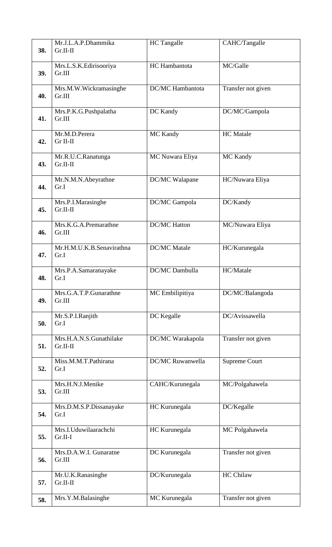|     | Mr.J.L.A.P.Dhammika              | <b>HC</b> Tangalle      | CAHC/Tangalle        |
|-----|----------------------------------|-------------------------|----------------------|
| 38. | $Gr.II-II$                       |                         |                      |
|     | Mrs.L.S.K.Edirisooriya           | HC Hambantota           | MC/Galle             |
| 39. | Gr.III                           |                         |                      |
|     | Mrs.M.W.Wickramasinghe           | DC/MC Hambantota        | Transfer not given   |
| 40. | Gr.III                           |                         |                      |
|     |                                  |                         |                      |
| 41. | Mrs.P.K.G.Pushpalatha<br>Gr.III  | DC Kandy                | DC/MC/Gampola        |
|     |                                  |                         |                      |
| 42. | Mr.M.D.Perera<br>Gr II-II        | MC Kandy                | <b>HC</b> Matale     |
|     |                                  |                         |                      |
|     | Mr.R.U.C.Ranatunga               | MC Nuwara Eliya         | MC Kandy             |
| 43. | Gr.II-II                         |                         |                      |
|     | Mr.N.M.N.Abeyrathne              | DC/MC Walapane          | HC/Nuwara Eliya      |
| 44. | Gr.I                             |                         |                      |
|     | Mrs.P.I.Marasinghe               | DC/MC Gampola           | DC/Kandy             |
| 45. | Gr.II-II                         |                         |                      |
|     | Mrs.K.G.A.Premarathne            | <b>DC/MC Hatton</b>     | MC/Nuwara Eliya      |
| 46. | Gr.III                           |                         |                      |
|     | Mr.H.M.U.K.B.Senavirathna        | <b>DC/MC</b> Matale     | HC/Kurunegala        |
| 47. | Gr.I                             |                         |                      |
|     |                                  | DC/MC Dambulla          |                      |
| 48. | Mrs.P.A.Samaranayake<br>Gr.I     |                         | HC/Matale            |
|     |                                  |                         |                      |
| 49. | Mrs.G.A.T.P.Gunarathne<br>Gr.III | MC Embilipitiya         | DC/MC/Balangoda      |
|     |                                  |                         |                      |
| 50. | Mr.S.P.I.Ranjith<br>Gr.I         | DC Kegalle              | DC/Avissawella       |
|     |                                  |                         |                      |
|     | Mrs.H.A.N.S.Gunathilake          | DC/MC Warakapola        | Transfer not given   |
| 51. | $Gr.II-II$                       |                         |                      |
|     | Miss.M.M.T.Pathirana             | <b>DC/MC Ruwanwella</b> | <b>Supreme Court</b> |
| 52. | Gr.I                             |                         |                      |
|     | Mrs.H.N.J.Menike                 | CAHC/Kurunegala         | MC/Polgahawela       |
| 53. | Gr.III                           |                         |                      |
|     | Mrs.D.M.S.P.Dissanayake          | HC Kurunegala           | DC/Kegalle           |
| 54. | Gr.I                             |                         |                      |
|     | Mrs.I.Uduwilaarachchi            | HC Kurunegala           | MC Polgahawela       |
| 55. | $Gr.II-I$                        |                         |                      |
|     | Mrs.D.A.W.I. Gunaratne           | DC Kurunegala           | Transfer not given   |
| 56. | Gr.III                           |                         |                      |
|     |                                  |                         |                      |
| 57. | Mr.U.K.Ranasinghe<br>Gr.II-II    | DC/Kurunegala           | <b>HC Chilaw</b>     |
|     |                                  |                         |                      |
| 58. | Mrs.Y.M.Balasinghe               | MC Kurunegala           | Transfer not given   |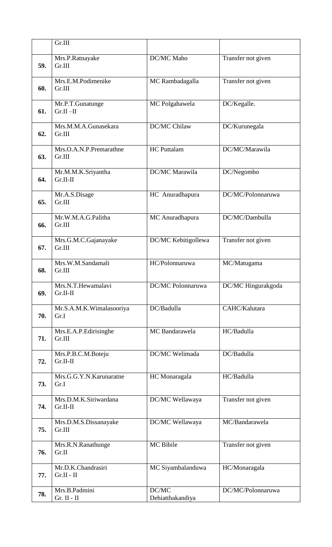|     | Gr.III                             |                           |                    |
|-----|------------------------------------|---------------------------|--------------------|
| 59. | Mrs.P.Ratnayake<br>Gr.III          | DC/MC Maho                | Transfer not given |
| 60. | Mrs.E.M.Podimenike<br>Gr.III       | MC Rambadagalla           | Transfer not given |
| 61. | Mr.P.T.Gunatunge<br>$Gr.II-II$     | MC Polgahawela            | DC/Kegalle.        |
| 62. | Mrs.M.M.A.Gunasekara<br>Gr.III     | DC/MC Chilaw              | DC/Kurunegala      |
| 63. | Mrs.O.A.N.P.Premarathne<br>Gr.III  | <b>HC</b> Puttalam        | DC/MC/Marawila     |
| 64. | Mr.M.M.K.Sriyantha<br>Gr.II-II     | DC/MC Marawila            | DC/Negombo         |
| 65. | Mr.A.S.Disage<br>Gr.III            | HC Anuradhapura           | DC/MC/Polonnaruwa  |
| 66. | Mr.W.M.A.G.Palitha<br>Gr.III       | MC Anuradhapura           | DC/MC/Dambulla     |
| 67. | Mrs.G.M.C.Gajanayake<br>Gr.III     | DC/MC Kebitigollewa       | Transfer not given |
| 68. | Mrs.W.M.Sandamali<br>Gr.III        | HC/Polonnaruwa            | MC/Matugama        |
| 69. | Mrs.N.T.Hewamalavi<br>Gr.II-II     | DC/MC Polonnaruwa         | DC/MC Hingurakgoda |
| 70. | Mr.S.A.M.K.Wimalasooriya<br>Gr.I   | DC/Badulla                | CAHC/Kalutara      |
| 71. | Mrs.E.A.P.Edirisinghe<br>Gr.III    | MC Bandarawela            | HC/Badulla         |
| 72. | Mrs.P.B.C.M.Boteju<br>Gr.II-II     | DC/MC Welimada            | DC/Badulla         |
| 73. | Mrs.G.G.Y.N.Karunaratne<br>Gr.I    | HC Monaragala             | HC/Badulla         |
| 74. | Mrs.D.M.K.Siriwardana<br>Gr.II-II  | DC/MC Wellawaya           | Transfer not given |
| 75. | Mrs.D.M.S.Dissanayake<br>Gr.III    | DC/MC Wellawaya           | MC/Bandarawela     |
| 76. | Mrs.R.N.Ranathunge<br>Gr.II        | MC Bibile                 | Transfer not given |
| 77. | Mr.D.K.Chandrasiri<br>$Gr.II - II$ | MC Siyambalanduwa         | HC/Monaragala      |
| 78. | Mrs.B.Padmini<br>$Gr. II - II$     | DC/MC<br>Dehiatthakandiya | DC/MC/Polonnaruwa  |